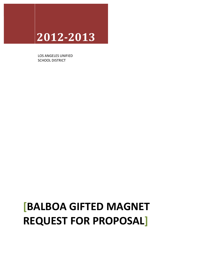# **2012\$2013**

LOS ANGELES UNIFIED SCHOOL DISTRICT

# **[BALBOA GIFTED MAGNET REQUEST FOR PROPOSAL]**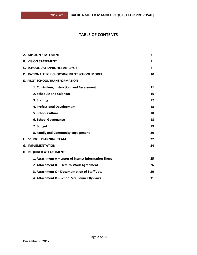## **TABLE OF CONTENTS**

| A. MISSION STATEMENT                                  | 3  |
|-------------------------------------------------------|----|
| <b>B. VISION STATEMENT</b>                            | 3  |
| C. SCHOOL DATA/PROFILE ANALYSIS                       | 6  |
| D. RATIONALE FOR CHOOSING PILOT SCHOOL MODEL          | 10 |
| <b>E. PILOT SCHOOL TRANSFORMATION</b>                 |    |
| 1. Curriculum, instruction, and Assessment            | 11 |
| 2. Schedule and Calendar                              | 16 |
| 3. Staffing                                           | 17 |
| 4. Professional Development                           | 18 |
| 5. School Culture                                     | 18 |
| 6. School Governance                                  | 18 |
| 7. Budget                                             | 19 |
| 8. Family and Community Engagement                    | 20 |
| <b>F. SCHOOL PLANNING TEAM</b>                        | 22 |
| <b>G. IMPLEMENTATION</b>                              | 24 |
| H. REQUIRED ATTACHMENTS                               |    |
| 1. Attachment A - Letter of Intent/ Information Sheet | 25 |
| 2. Attachment B - Elect-to-Work Agreement             | 26 |
| 3. Attachment C – Documentation of Staff Vote         | 30 |
| 4. Attachment D - School Site Council By-Laws         | 31 |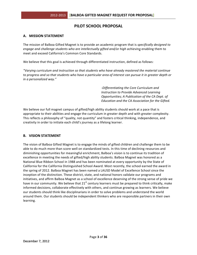## **PILOT SCHOOL PROPOSAL**

## **A. MISSION STATEMENT**

The mission of Balboa Gifted Magnet is to provide an academic program that is *specifically designed to* engage and challenge students who are intellectually gifted and/or high achieving enabling them to meet and exceed California's Common Core Standards.

We believe that this goal is achieved through differentiated instruction, defined as follows:

*"Varying\*curriculum\*and\*instruction\*so\*that\*students\*who\*have\*already\*mastered\*the\*material\*continue\** to progress and so that students who have a particular area of interest can pursue it in greater depth or *in a personalized way."* 

> 4*Differentiating\*the\*Core\*Curriculum\*and\* Instruction to Provide Advanced Learning Opportunities; A Publication of the CA Dept. of Education\*and\*the\*CA\*Association\*for\*the\*Gifted.*

We believe our full magnet campus of gifted/high ability students should work at a pace that is appropriate to their abilities and engage the curriculum in greater depth and with greater complexity. This reflects a philosophy of "quality, not quantity" and fosters critical thinking, independence, and creativity in order to initiate each child's journey as a lifelong learner.

## **B. VISION STATEMENT**

The vision of Balboa Gifted Magnet is to engage the minds of gifted children and challenge them to be able to do much more than score well on standardized tests. In this time of declining resources and diminishing opportunities for meaningful enrichment, Balboa's vision is to continue its tradition of excellence in meeting the needs of gifted/high ability students. Balboa Magnet was honored as a National Blue Ribbon School in 1988 and has been nominated at every opportunity by the State of California for the California Distinguished School Award. Most recently, the school earned the award in the spring of 2012. Balboa Magnet has been named a LAUSD Model of Excellence School since the inception of the distinction. These district, state, and national honors validate our programs and initiatives, and affirm Balboa Magnet as a school of excellence deserving of the strong sense of pride we have in our community. We believe that  $21<sup>st</sup>$  century learners must be prepared to think critically, make informed decisions, collaborate effectively with others, and continue growing as learners. We believe our students should think like disciplinarians in order to solve problems and understand the world around them. Our students should be independent thinkers who are responsible partners in their own learning.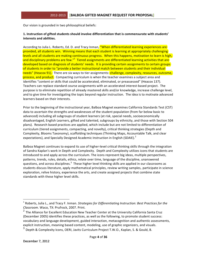Our vision is grounded in two philosophical beliefs:

#### **1. Instruction of gifted students should involve differentiation that is commensurate with students' interests and abilities.**

According to Julia L. Roberts, Ed. D. and Tracy Inman, "When differentiated learning experiences are provided, all students win. Winning means that each student is learning at appropriately challenging levels and all students are making continuous progress. When this happens, motivation to learn is high, and disciplinary problems are few."<sup>1</sup> Tiered assignments are differentiated learning activities that are developed based on diagnosis of students' needs. It is providing certain assignments to certain groups of students in order to "provide a better instructional match between students and their individual needs" (Heacox 91). There are six ways to tier assignments: *challenge, complexity, resources, outcome,* process, and product. Compacting curriculum is when the teacher examines a subject area and identifies "content or skills that could be accelerated, eliminated, or preassessed" (Heacox 137). Teachers can replace standard course assignments with an accelerated interest-based project. The purpose is to eliminate repetition of already mastered skills and/or knowledge, increase challenge level, and to give time for investigating the topic beyond regular instruction. The idea is to motivate advanced learners based on their interests.

Prior to the beginning of the instructional year, Balboa Magnet examines California Standards Test (CST) data to ascertain the strengths and weaknesses of the student population (from far below basic to advanced) including all subgroups of student learners (at risk, special needs, socioeconomically disadvantaged, English Learners, gifted and talented, subgroups by ethnicity, and those with Section 504 plans). Research based practices are applied, which include but are not limited to differentiation of curriculum (tiered assignments, compacting, and novelty), critical thinking strategies (Depth and Complexity, Blooms Taxonomy), scaffolding techniques (Thinking Maps, Accountable Talk, and clear expectations), and Specially Designed Academic Instruction in English (SDAIE).<sup>2</sup>

Balboa Magnet continues to expand its use of higher-level critical thinking skills through the integration of Sandra Kaplan's work in Depth and Complexity. Depth and Complexity utilizes icons that students are introduced to and apply across the curriculum. The icons represent big ideas, multiple perspectives, patterns, trends, rules, details, ethics, relate over time, language of the discipline, unanswered questions, and across disciplines.<sup>3</sup> These higher level thinking skills are applied in our classrooms as students discuss literature, apply mathematical principles, review writing samples, participate in science exploration, relive history, experience the arts, and create assigned projects that combine state standards with these higher level skills.

!!!!!!!!!!!!!!!!!!!!!!!!!!!!!!!!!!!!!!!!!!!!!!!!!!!!!!!!!!!!

<sup>&</sup>lt;sup>1</sup> Roberts, Julia L., and Tracy F. Inman. *Strategies for Differentiating Instruction: Best Practices for the Classroom.* Waco, TX: Prufrock, 2007. Print.

 $2$  The Alliance for Excellent Education New Teacher Center at the University California Santa Cruz (December 2005) identifies these practices, as well as the following, to promote student success: vocabulary and language development, guided interaction, metacognition and authentic assessments, explicit instruction, meaning based content, modeling, use of graphic organizers, and visuals.

 $3$  Depth & Complexity Icons, OERI, Javits Curriculum Project T.W.O., Kaplan, S. & Gould, B.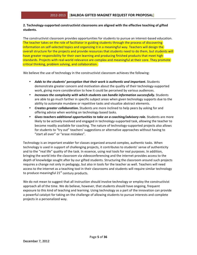## 2. Technology-supported constructivist classrooms are aligned with the effective teaching of gifted **students.**

The constructivist classroom provides opportunities for students to pursue an interest-based education. The teacher takes on the role of facilitator in guiding students through the process of discovering information on self-selected topics and organizing it in a meaningful way. Teachers will design the overall structure for the projects and provide resources that students need to do them, but students will have greater responsibility for their own learning and producing finished products that meet high standards. Projects with real-world relevance are complex and meaningful at their core. They promote critical thinking, problem solving, and collaboration.

We believe the use of technology in the constructivist classroom achieves the following:

- Adds to the students' perception that their work is authentic and important. Students demonstrate greater concern and motivation about the quality of their technology-supported work, giving more consideration to how it could be perceived by various audiences.
- *Increases the complexity with which students can handle information successfully.* **Students** are able to go much farther in specific subject areas when given technology supports due to the ability to automate mundane or repetitive tasks and visualize abstract elements.
- *Creates greater collaboration.* Students are more inclined to help peers by asking for and offering advice when working on technology based tasks.
- Gives teachers additional opportunities to take on a coaching/advisory role. Students are more likely to be actively involved and engaged in technology-supported task, allowing the teacher to become readily available for coaching. The nature of technology-supported projects also allows for students to "try out" teachers' suggestions or alternative approaches without having to "start all over" or "erase mistakes".

Technology is an important enabler for classes organized around complex, authentic tasks. When technology is used in support of challenging projects, it contributes to students' sense of authenticity and to the "real life" quality of the task. In essence, using real tools for real purposes. In addition, bringing the world into the classroom via videoconferencing and the internet provides access to the depth of knowledge sought after by our gifted students. Structuring the classroom around such projects requires a change not only in pedagogy, but also in tools for the teacher as well. Teachers will need access to the internet as a teaching tool in their classrooms and students will require similar technology to produce meaningful  $21<sup>st</sup>$  century products.

We do not mean to suggest that all instruction should involve technology or employ the constructivist approach all of the time. We do believe, however, that students should have ongoing, frequent exposure to this kind of teaching and learning. Using technology as a part of the innovation can provide a powerful catalyst for taking on the challenge of allowing students to pursue interests and complete projects in a personalized way.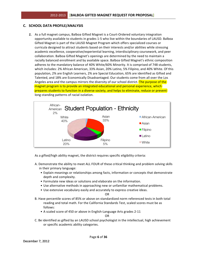## **C. SCHOOL DATA PROFILE/ANALYSIS**

**1.** As a full magnet campus, Balboa Gifted Magnet is a Court-Ordered voluntary integration opportunity available to students in grades 1-5 who live within the boundaries of LAUSD. Balboa Gifted Magnet is part of the LAUSD Magnet Program which offers specialized courses or curricula designed to attract students based on their interests and/or abilities while stressing academic excellence, cooperative/experiential learning, interdisciplinary coursework, and peer collaboration. Balboa Gifted Magnet's openings are determined by the need to maintain a racially balanced enrollment and by available space. Balboa Gifted Magnet's ethnic composition adheres to the mandatory balance of 40% White/60% Minority. It is comprised of 748 students, which includes: 2% African American, 33% Asian, 20% Latino, 5% Filipino, and 40% White. Of this population, 2% are English Learners, 2% are Special Education, 65% are identified as Gifted and Talented, and 18% are Economically Disadvantaged. Our students come from all over the Los Angeles area and the campus mirrors the diversity of our school district. The purpose of the magnet program is to provide an integrated educational and personal experience, which prepares students to function in a diverse society, and helps to eliminate, reduce or prevent long-standing patterns of racial isolation.



As a gifted/high ability magnet, the district requires specific eligibility criteria:

- A. Demonstrate the ability to meet ALL FOUR of these critical thinking and problem solving skills in their primary language:
	- Explain meanings or relationships among facts, information or concepts that demonstrate depth and complexity.
	- Formulate new ideas or solutions and elaborate on the information.
	- Use alternative methods in approaching new or unfamiliar mathematical problems.
	- Use extensive vocabulary easily and accurately to express creative ideas.

#### OR

- B. Have percentile scores of 85% or above on standardized norm referenced tests in both total reading and total math. For the California Standards Test, scaled scores must be as follows:
	- A scaled score of 450 or above in English-Language Arts grades 2-11

OR

C. Be identified as gifted by an LAUSD school psychologist in the intellectual, high achievement or specific academic ability categories.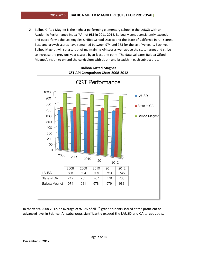2. Balboa Gifted Magnet is the highest performing elementary school in the LAUSD with an Academic Performance Index (API) of 983 in 2011-2012. Balboa Magnet consistently exceeds and outperforms the Los Angeles Unified School District and the State of California in API scores. Base and growth scores have remained between 974 and 983 for the last five years. Each year, Balboa Magnet will set a target of maintaining API scores well above the state target and strive to increase the previous year's score by at least one point. The data validates Balboa Gifted Magnet's vision to extend the curriculum with depth and breadth in each subject area.



## **Balboa Gifted&Magnet CST API Comparison Chart 2008-2012**

In the years, 2008-2012, an average of **97.5%** of all 5<sup>th</sup> grade students scored at the proficient or advanced level in Science. All subgroups significantly exceed the LAUSD and CA target goals.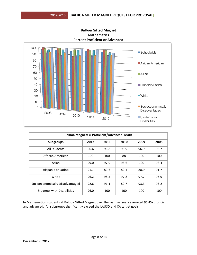

**Balboa&Gifted&Magnet Mathematics& Percent Proficient or Advanced** 

| <b>Balboa Magnet: % Proficient/Advanced: Math</b> |      |      |      |      |      |  |  |
|---------------------------------------------------|------|------|------|------|------|--|--|
| <b>Subgroups</b>                                  | 2012 | 2011 | 2010 | 2009 | 2008 |  |  |
| All Students                                      | 96.6 | 96.8 | 95.9 | 96.9 | 96.7 |  |  |
| African American                                  | 100  | 100  | 88   | 100  | 100  |  |  |
| Asian                                             | 99.0 | 97.9 | 98.6 | 100  | 98.4 |  |  |
| Hispanic or Latino                                | 91.7 | 89.6 | 89.4 | 88.9 | 91.7 |  |  |
| White                                             | 96.2 | 98.5 | 97.8 | 97.7 | 96.9 |  |  |
| Socioeconomically Disadvantaged                   | 92.6 | 91.1 | 89.7 | 93.3 | 93.2 |  |  |
| <b>Students with Disabilities</b>                 | 96.0 | 100  | 100  | 100  | 100  |  |  |

In Mathematics, students at Balboa Gifted Magnet over the last five years averaged 96.4% proficient and advanced. All subgroups significantly exceed the LAUSD and CA target goals.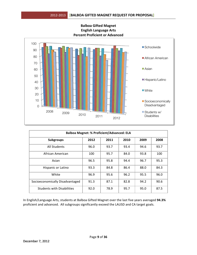

**Balboa&Gifted&Magnet English Language Arts Percent Proficient or Advanced** 

| <b>Balboa Magnet: % Proficient/Advanced: ELA</b> |      |      |      |      |      |  |  |  |
|--------------------------------------------------|------|------|------|------|------|--|--|--|
| <b>Subgroups</b>                                 | 2012 | 2011 | 2010 | 2009 | 2008 |  |  |  |
| All Students                                     | 96.0 | 93.7 | 93.4 | 94.6 | 93.7 |  |  |  |
| African American                                 | 100  | 95.7 | 84.0 | 93.8 | 100  |  |  |  |
| Asian                                            | 96.5 | 95.8 | 94.4 | 96.7 | 95.3 |  |  |  |
| Hispanic or Latino                               | 93.3 | 84.8 | 86.4 | 88.0 | 84.3 |  |  |  |
| White                                            | 96.9 | 95.6 | 96.2 | 95.5 | 96.0 |  |  |  |
| Socioeconomically Disadvantaged                  | 91.3 | 87.1 | 82.8 | 94.2 | 90.6 |  |  |  |
| <b>Students with Disabilities</b>                | 92.0 | 78.9 | 95.7 | 95.0 | 87.5 |  |  |  |

In English/Language Arts, students at Balboa Gifted Magnet over the last five years averaged 94.3% proficient and advanced. All subgroups significantly exceed the LAUSD and CA target goals.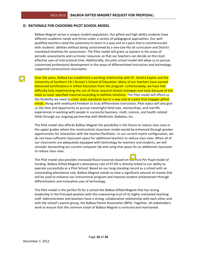#### **D. RATIONALE FOR CHOOSING PILOT SCHOOL MODEL**

Balboa Magnet serves a unique student population. Our gifted and high ability students have different academic needs and thrive under a variety of pedagogical approaches. Our wellqualified teachers need the autonomy to teach in a way and at a pace that is commensurate with students' abilities without being constrained by a one-size-fits-all curriculum and Districtmandated timelines for assessment. The Pilot model will grant us waivers in the areas of periodic assessments and curricular resources so that our teachers can decide on the most effective uses of instructional time. Additionally, the pilot school model will allow us to pursue customized professional development in the areas of differentiated instruction and technologysupported constructivist classrooms.

Over the years, Balboa has established a working relationship with Dr. Sandra Kaplan and the University of Southern CA's Rossier's School of Education. Many of our teachers have earned Advanced Certifications in Gifted Education from the program. Unfortunately, we have had difficulty fully implementing the use of these research-based strategies and tools because of the need to cover specified material according to definite timelines. The Pilot model will afford us the flexibility we need to cover state standards but in a way and at a pace that engages gifted minds. Along with newfound freedom to truly differentiate instruction, Pilot status will also give us the time and opportunity to pursue meaningful field trips, mentorships, and real-life experiences in working with people in successful business, math, science, and health related fields through our ongoing partnership with Medtronic Diabetes, Inc.

The Pilot model also affords Balboa Magnet the possibility in the future to reduce class sizes in the upper grades where the constructivist classroom model would be enhanced through greater opportunities for interaction with the teacher/facilitator. In our current matrix configuration, we do not have sufficient classroom space for additional teachers to reduce class sizes. When all of our classrooms are adequately equipped with technology for teachers and students, we will consider dismantling our current computer lab and using that space for an additional classroom to reduce class sizes.

The Pilot model also provides increased fiscal resources based on  $\frac{1}{\ln 2}$  ure Per Pupil model of funding. Balboa Gifted Magnet's attendance rate of 97.9% is directly linked to our ability to operate successfully as a Pilot School. Based on our long-standing record as a school with an outstanding attendance rate, Balboa Magnet stands to clear a significant amount of money that will be used to enhance our instructional program and improve student achievement through differentiation and innovative uses of technology.

The Pilot model is the perfect fit for a school like Balboa Gifted Magnet that has strong leadership in the Principal position with the unwavering trust of its highly motivated teaching staff. Administration and teachers have a strong, collaborative relationship with each other and with the school's parent group, the Balboa Parent Association (BPA). Together, all stakeholders work to ensure that the common vision of Balboa Magnet is nurtured and maintained.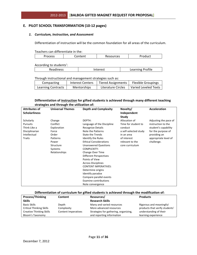#### E. PILOT SCHOOL TRANSFORMATION (10-12 pages)

#### 1. Curriculum, Instruction, and Assessment

Differentiation of instruction will be the common foundation for all areas of the curriculum.

Teachers can differentiate in the:

| 1.00000000 | ------<br>$\cdots$<br>ししつ | $ - +$<br>'uu |
|------------|---------------------------|---------------|
|------------|---------------------------|---------------|

According to students':

| ιρςς<br>-- | $\sim$ $\sim$ $\sim$ $\sim$ | ------<br>rofile<br><br>--<br><b>LCUITIII</b> |
|------------|-----------------------------|-----------------------------------------------|
|            |                             |                                               |

Through instructional and management strategies such as:

| Compacting         | <b>Interest Centers</b> | <b>Tiered Assignments</b> | <b>Flexible Groupings</b> |
|--------------------|-------------------------|---------------------------|---------------------------|
| Learning Contracts | <b>Mentorships</b>      | Literature Circles        | Varied Leveled Texts      |

#### **Differentiation of instruction for gifted students is achieved through many different teaching** strategies and through the utilization of:

| <b>Attributes of</b> | <b>Universal Themes</b> | <b>Depth and Complexity</b>   | Novelty/              | <b>Acceleration</b>   |
|----------------------|-------------------------|-------------------------------|-----------------------|-----------------------|
| <b>Scholarliness</b> |                         |                               | Independent           |                       |
|                      |                         |                               | Study                 |                       |
| Scholarly            | Change                  | DEPTH:                        | Allocation of         | Adjusting the pace of |
| <b>Pursuits</b>      | Conflict                | Language of the Discipline    | Time for student to   | instruction to the    |
| Think Like a         | Exploration             | <b>Recognize Details</b>      | conduct               | student's capability  |
| Disciplinarian       | Force                   | Note the Patterns             | a self-selected study | for the purpose of    |
| Intellectual         | Order                   | <b>State the Trends</b>       | in an area            | providing an          |
| <b>Traits</b>        | Patterns                | Identify the Rules            | of interest           | appropriate level of  |
|                      | Power                   | <b>Ethical Considerations</b> | relevant to the       | challenge.            |
|                      | Structure               | <b>Unanswered Questions</b>   | core curriculum       |                       |
|                      | Systems                 | COMPLEXITY:                   |                       |                       |
|                      | Relationships           | Change Over Time              |                       |                       |
|                      |                         | Different Perspectives        |                       |                       |
|                      |                         | Points of View                |                       |                       |
|                      |                         | <b>Across Disciplines</b>     |                       |                       |
|                      |                         | <b>CONTENT IMPERATIVES:</b>   |                       |                       |
|                      |                         | Determine origins             |                       |                       |
|                      |                         | Identify paradox              |                       |                       |
|                      |                         | Compare parallel events       |                       |                       |
|                      |                         | <b>Examine contributions</b>  |                       |                       |
|                      |                         | Note convergence              |                       |                       |

#### Differentiation of curriculum for gifted students is achieved through the modification of:

| <b>Process/Thinking</b>         | Content             | Resources/                            | <b>Products</b>                |
|---------------------------------|---------------------|---------------------------------------|--------------------------------|
| <b>Skills</b>                   |                     | <b>Research Skills</b>                |                                |
| Basic Skills                    | Depth               | Many and varied resources             | Rigorous and meaningful        |
| <b>Critical Thinking Skills</b> | Complexity          | More advanced resources               | products that verify students' |
| <b>Creative Thinking Skills</b> | Content Imperatives | Strategies for gathering, organizing, | understanding of their         |
| Bloom's Taxonomy                |                     | and reporting information             | learning experience            |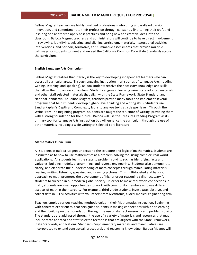## 2012-2013 **| BALBOA GIFTED MAGNET REQUEST FOR PROPOSAL]**

Balboa Magnet teachers are highly qualified professionals who bring unparalleled passion, innovation, and commitment to their profession through constantly fine-tuning their craft and inspiring one another to apply best practices and bring new and creative ideas into the classroom. Balboa Magnet teachers and administrators will continue to have direct involvement in reviewing, identifying, selecting, and aligning curriculum, materials, instructional activities, interventions, and periodic, formative, and summative assessments that provide multiple pathways for students to meet and exceed the California Common Core State Standards across the curriculum.

#### **English&Language&Arts&Curriculum**

Balboa Magnet realizes that literacy is the key to developing independent learners who can access all curricular areas. Through engaging instruction in all strands of Language Arts (reading, writing, listening, and speaking), Balboa students receive the necessary knowledge and skills that allow them to access curriculum. Students engage in learning using state adopted materials and other staff selected materials that align with the State Framework, State Standard, and National Standards. At Balboa Magnet, teachers provide many tools and implement several programs that help students develop higher-level thinking and writing skills. Students use Sandra Kaplan's Depth and Complexity Icons to analyze texts at a deeper level. Through the Write From The Beginning program, students are taught the structure of writing, providing them with a strong foundation for the future. Balboa will use the Treasures Reading Program as its primary tool for Language Arts instruction but will enhance the curriculum through the use of other materials including a wide variety of selected core literature.

#### **Mathematics Curriculum**

All students at Balboa Magnet understand the structure and logic of mathematics. Students are instructed as to how to use mathematics as a problem-solving tool using complex, real world applications. All students learn the steps to problem solving, such as identifying facts and variables, building models, diagramming, and reverse engineering. Students also demonstrate, clarify, and elaborate their understanding of math concepts through manipulating materials, reading, writing, listening, speaking, and drawing pictures. This multi-faceted and hands-on approach to math promotes the development of higher order reasoning skills necessary for students to succeed in our modern global society. In order to make real-world connections in math, students are given opportunities to work with community members who use different aspects of math in their careers. For example, third grade students investigate, observe, and collect data in STEM activities with volunteers from Medtronic, a local medical engineering firm.

Teachers employ various teaching methodologies in their Mathematics instruction. Beginning with concrete experiences, teachers guide students in making connections with prior learning and then build upon that foundation through the use of abstract reasoning and problem solving. The standards are addressed through the use of a variety of materials and resources that may include state adopted and staff selected textbooks that are aligned with the State Framework, State Standards, and National Standards. Supplementary materials and manipulatives are incorporated to extend conceptual, procedural, and reasoning knowledge. Balboa Magnet will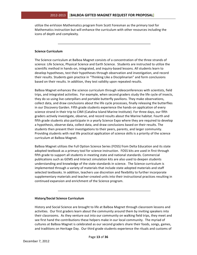utilize the enVision Mathematics program from Scott Foresman as the primary tool for Mathematics instruction but will enhance the curriculum with other resources including the icons of depth and complexity.

#### **Science Curriculum**

The Science curriculum at Balboa Magnet consists of a concentration of the three strands of science: Life Science, Physical Science and Earth Science. Students are instructed to utilize the scientific method in hands-on, integrated, and inquiry-based lessons. All students learn to develop hypotheses, test their hypotheses through observation and investigation, and record their results. Students gain practice in "Thinking Like a Disciplinarian" and form conclusions based on their results. In addition, they test validity upon repeated results.

Balboa Magnet enhances the science curriculum through videoconferences with scientists, field trips, and integrated activities. For example, when second graders study the life cycle of insects, they do so using live caterpillars and portable butterfly pavilions. They make observations, collect data, and draw conclusions about the life cycle processes, finally releasing the butterflies in our Discovery Garden. Fifth grade students experience the hands-on application of every science strand in their trip to CIMI (Catalina Island Marine Institute). For three days, our fifth graders actively investigate, observe, and record results about the Marine habitat. Fourth and fifth grade students also participate in a yearly Science Expo where they are required to develop a hypothesis, observe data, collect data, and draw conclusions based on their results. The students then present their investigations to their peers, parents, and larger community. Providing students with real life practical application of science skills is a priority of the science curriculum at Balboa Magnet.

Balboa Magnet utilizes the Full Option Science Series (FOSS) from Delta Education and its state adopted textbook as a primary tool for science instruction. FOSS kits are used in first through fifth grade to support all students in meeting state and national standards. Commercial publications such as GEMS and Interact simulation kits are also used to deepen students understanding and knowledge of the state standards in science. The Science curriculum is implemented through a variety of materials that include state adopted materials and staff selected textbooks. In addition, teachers use discretion and flexibility to further incorporate supplementary materials and teacher-created units into their instructional practices resulting in continued expansion and enrichment of the Science program.

#### **History/Social Science Curriculum**

History and Social Science are brought to life at Balboa Magnet through classroom lessons and activities. Our first graders learn about the community around them by inviting speakers into their classrooms. As they venture out into our community on walking field trips, they meet and see first hand the contributions these helpers make in our local community. The myriad of cultures at Balboa Magnet is celebrated as our second graders share their foods, songs, games, and traditions on Heritage Day. Our third grade students experience the rituals and customs of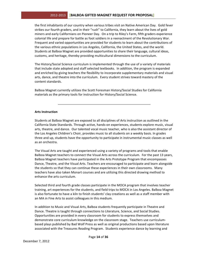## 2012-2013 **| BALBOA GIFTED MAGNET REQUEST FOR PROPOSAL]**

the first inhabitants of our country when various tribes visit on Native American Day. Gold fever strikes our fourth graders, and in their "rush" to California, they learn about the lives of gold miners and early Californians on Pioneer Day. On a trip to Riley's Farm, fifth graders experience colonial life and prepare for battle as foot soldiers in a reenactment of the Revolutionary War. Frequent and varied opportunities are provided for students to learn about the contributions of the various ethnic populations in Los Angeles, California, the United States, and the world. Students at Balboa Magnet are provided opportunities to share their language, cultural ideas, customs, and heritage, thereby providing multicultural dimensions to the curriculum.

The History/Social Science curriculum is implemented through the use of a variety of materials that include state adopted and staff selected textbooks. In addition, the program is expanded and enriched by giving teachers the flexibility to incorporate supplementary materials and visual arts, dance, and theatre into the curriculum. Every student strives toward mastery of the content standards.

Balboa Magnet currently utilizes the Scott Foresman History/Social Studies for California materials as the primary tools for instruction for History/Social Science.

#### **Arts Instruction**

Students at Balboa Magnet are exposed to all disciplines of Arts instruction as outlined in the California State Standards. Through active, hands-on experiences, students explore music, visual arts, theatre, and dance. Our talented vocal music teacher, who is also the assistant director of the Los Angeles Children's Choir, provides music to all students on a weekly basis. In grades three and up, students have the opportunity to participate in instrumental music classes as well as an orchestra.

The Visual Arts are taught and experienced using a variety of programs and tools that enable Balboa Magnet teachers to connect the Visual Arts across the curriculum. For the past 13 years, Balboa Magnet teachers have participated in the Arts Prototype Program that encompasses Dance, Theatre, and the Visual Arts. Teachers are encouraged to participate and learn alongside the students so that they can continue these experiences in their own classrooms. Many teachers have also taken Monart courses and are utilizing this directed drawing method to enhance the arts curriculum.

Selected third and fourth grade classes participate in the MOCA program that involves teacher training, art experiences for the students, and field trips to MOCA in Los Angeles. Balboa Magnet is also fortunate to have a kiln to finish students' clay creations as well as a staff member with an MA in Fine Arts to assist colleagues in this medium.

In addition to Music and Visual Arts, Balboa students frequently participate in Theatre and Dance. Theatre is taught through connections to Literature, Science, and Social Studies. Opportunities are provided in every classroom for students to express themselves and demonstrate core curriculum knowledge on the classroom stage. Teachers use curriculumbased plays published by Bad Wolf Press as well as original productions based upon literature associated with the Treasures Reading Program. Students experience dance by learning and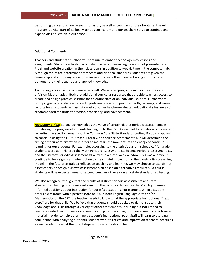performing dances that are relevant to history as well as countries of their heritage. The Arts Program is a vital part of Balboa Magnet's curriculum and our teachers strive to continue and expand Arts education in our school.

#### **Additional&Comments**

Teachers and students at Balboa will continue to embed technology into lessons and assignments. Students actively participate in video conferencing, PowerPoint presentations, Prezi, and website creation in their classrooms in addition to weekly time in the computer lab. Although topics are determined from State and National standards, students are given the ownership and autonomy as decision makers to create their own technology product and demonstrate their acquired and applied knowledge.

Technology also extends to home access with Web-based programs such as Treasures and enVision Mathematics. Both are additional curricular resources that provide teachers access to create and design practice sessions for an entire class or an individual student. Furthermore, both programs provide teachers with proficiency levels on practiced skills, rankings, and usage reports for all students in class. A variety of other teacher-evaluated educational sites are also recommended for student practice, proficiency, and advancement.

**Assessment Plan:** Balboa acknowledges the value of certain district periodic assessments in monitoring the progress of students leading up to the CST. As we wait for additional information regarding the specific demands of the Common Core State Standards testing, Balboa proposes to continue using the LAUSD Math, Literacy, and Science Assessments but will determine the timing of their administration in order to maintain the momentum and energy of continuous learning for our students. For example, according to the district's current schedule, fifth grade students were administered the Math Periodic Assessment #1, Science Periodic Assessment #1, and the Literacy Periodic Assessment #1 all within a three-week window. This was and would continue to be a significant interruption to meaningful instruction or the constructivist-learning model. In the future, as Balboa reflects on teaching and learning, we may choose to use district assessments or design our own assessment plan based on alternative resources. Of course, students will be expected meet or exceed benchmark levels on any state standardized testing.

We also recognize, though, that the results of district periodic assessments and state standardized testing often omits information that is critical to our teachers' ability to make informed decisions about instruction for our gifted students. For example, when a student enters a classroom with a perfect score of 600 in both English Language Arts and/or Mathematics on the CST, the teacher needs to know what the appropriate instructional "next steps" are for that child. We believe that students should be asked to demonstrate their knowledge and skills through a variety of other assessments, including but not limited to teacher-created performance assessments and publishers' diagnostic assessments on advanced material in order to help determine a student's instructional path. Staff will learn to use data in conjunction with analyzing authentic student work to reflect and improve on teachers' practices as well as identify what their next steps with students should be.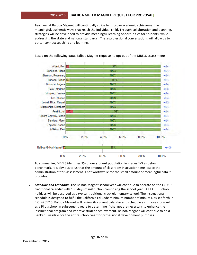## 2012-2013 **[BALBOA GIFTED MAGNET REQUEST FOR PROPOSAL]**

Teachers at Balboa Magnet will continually strive to improve academic achievement in meaningful, authentic ways that reach the individual child. Through collaboration and planning, strategies will be developed to provide meaningful learning opportunities for students, while addressing the state and national standards. These professional conversations will allow us to better connect teaching and learning.



Based on the following data, Balboa Magnet requests to opt out of the DIBELS assessments:

To summarize, DIBELS identifies 1% of our student population in grades 1-3 as below benchmark. It is obvious to us that the amount of classroom instruction time lost to the administration of this assessment is not worthwhile for the small amount of meaningful data it provides.

2. **Schedule and Calendar**: The Balboa Magnet school year will continue to operate on the LAUSD traditional calendar with 180 days of instruction composing the school year. All LAUSD school holidays will be observed as a typical traditional track elementary school. The instructional schedule is designed to fulfill the California Ed Code minimum number of minutes, as set forth in E.C. 47612.5. Balboa Magnet will review its current calendar and schedule as it moves forward as a Pilot school in subsequent years to determine if changes are necessary to enhance the instructional program and improve student achievement. Balboa Magnet will continue to hold Banked Tuesdays for the entire school year for professional development purposes.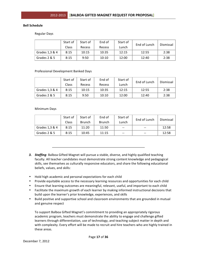#### **Bell Schedule**

Regular!Days

|                | Start of | Start of | End of | Start of | End of Lunch | Dismissal |
|----------------|----------|----------|--------|----------|--------------|-----------|
|                | Class    | Recess   | Recess | Lunch    |              |           |
| Grades 1,3 & 4 | 8:15     | 10:15    | 10:35  | 12:15    | 12:55        | 2:38      |
| Grades 2 & 5   | 8:15     | 9:50     | 10:10  | 12:00    | 12:40        | 2:38      |

#### Professional Development Banked Days

|                | Start of     | Start of | End of | Start of | End of Lunch | Dismissal |
|----------------|--------------|----------|--------|----------|--------------|-----------|
|                | <b>Class</b> | Recess   | Recess | Lunch    |              |           |
| Grades 1,3 & 4 | 8:15         | 10:15    | 10:35  | 12:15    | 12:55        | 2:38      |
| Grades 2 & 5   | 8:15         | 9:50     | 10:10  | 12:00    | 12:40        | 2:38      |

Minimum!Days

|                | Start of     | Start of | End of | Start of | End of Lunch |           |
|----------------|--------------|----------|--------|----------|--------------|-----------|
|                | <b>Class</b> | Brunch   | Brunch | Lunch    |              | Dismissal |
| Grades 1,3 & 4 | 8:15         | 11:20    | 11:50  | $- -$    | $- -$        | 12:58     |
| Grades 2 & 5   | 8:15         | 10:45    | 11:15  | $- -$    | $- -$        | 12:58     |

- 3. *Staffing*: Balboa Gifted Magnet will pursue a stable, diverse, and highly qualified teaching faculty. All teacher candidates must demonstrate strong content knowledge and pedagogical skills, see themselves as culturally responsive educators, and share the following educational beliefs, values, and skills:
- Hold high academic and personal expectations for each child
- Provide equitable access to the necessary learning resources and opportunities for each child
- Ensure that learning outcomes are meaningful, relevant, useful, and important to each child
- Facilitate the maximum growth of each learner by making informed instructional decisions that build upon the learner's prior knowledge, experiences, and skills
- Build positive and supportive school and classroom environments that are grounded in mutual and genuine respect

To support Balboa Gifted Magnet's commitment to providing an appropriately rigorous academic program, teachers must demonstrate the ability to engage and challenge gifted learners through differentiation, use of technology, and teaching subject matter in depth and with complexity. Every effort will be made to recruit and hire teachers who are highly trained in these areas.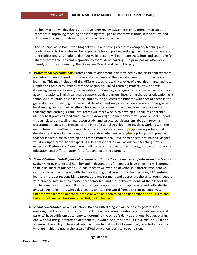Balboa Magnet will develop a grade level peer review system designed primarily to support teachers in improving teaching and learning through classroom walk-thrus, lesson study, and structured discussions about improving classroom practice.

The principal at Balboa Gifted Magnet will have a strong record of exemplary teaching and leadership skills. He or she will be responsible for supporting and engaging teachers as leaders and professionals. A model of distributive leadership will permeate the school and set a tone for shared commitment to and responsibility for student learning. The principal will also work closely with the community, the Governing Board, and the full faculty.

- 4. **Professional Development:** Professional Development is determined by the classroom teachers and administration based upon levels of expertise and the identified needs for instruction and learning. This may include utilizing different teachers with varieties of expertise in area such as: Depth and Complexity, Write From the Beginning, Linked Learning Projects, task analysis (breaking learning into small, manageable components), strategies for positive behavior support, accommodations, English Language support, at-risk learners, integrating character education as a school culture, brain-based learning, and ensuring success for students with special needs in the general education setting. Professional Development may also include grade and cross gradelevel small groups as well as after-school learning communities to explore ways to elevate teaching and learning. Grade level teams will meet weekly to develop curriculum coherence, identify best practices, and share content knowledge. Team members will provide peer support through classroom walk-thrus, lesson study, and structured discussions about improving classroom practice. The principal's role in Professional Development involves working with the instructional committee to review data to identify areas of need  $\sqrt{\sigma}$  pcoming professional development as well as securing outside vendors when necessary. The principal will provide teacher leaders time to develop and create Professional Development sessions. Balboa Magnet will draw upon professional experts, LAUSD personnel, as well as our own teaching staff's expertise. Professional Development will focus on the areas of technology, innovation, character education, and Differentiation for Gifted and Talented Learners.
- *5. School Culture: "Intelligence plus character, that is the true measure of education." Martin* Luther King Jr. Intellectual humility and high standards for conduct have been and will continue to be a hallmark of our school. Balboa Magnet will work to develop self-starters who behave responsibly as they interact with their local and global community. Furthermore,  $21<sup>st</sup>$  century learners must act responsibly to protect the environment and appreciate the arts. Young people who practice safe, healthy choices for themselves and their fellow students at their school site will become responsible adult citizens. Ongoing opportunities to appreciate and cultivate the arts will create learners who value beauty and see the world from different perspectives. Children who learn to approach problems with an open mind and understand the cultures and beliefs of others will become respectful, caring leaders.
- 6. School Governance: As a Pilot School, Balboa Gifted Magnet will be able to govern itself ensuring that those closest to the students (teachers, administrators, community leaders, and parents) have sufficient autonomy to determine the school's daily operations, budget, staffing, etc. Without this guarantee of local control, it would be difficult to fulfill our mission. First and foremost, the ability to hire and retain a powerful network of like-minded, talented educators who are highly trained in the area of gifted education is critical to our vision.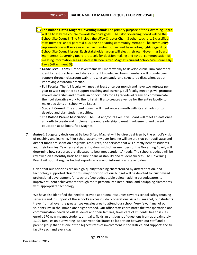**The Balboa Gifted Magnet Governing Board**: The primary purpose of the Governing Board will be to stay the course towards Balboa's goals. The Pilot Governing Board will be the School Site Council (The Principal, the UTLA Chapter Chair, 3 other teachers, 1 classified) staff member, and 6 parents) plus one non-voting community member. The community representative will serve as an active member but will not have voting rights regarding School Site Council issues. Each stakeholder group will elect their own Governing Board member(s). Governing Board protocols for decision making and school communication of meeting information are as listed in Balboa Gifted Magnet's current School Site Council By-Laws (Attachment D).

- Grade Level Teams: Grade level teams will meet weekly to develop curriculum coherence, identify best practices, and share content knowledge. Team members will provide peer support through classroom walk-thrus, lesson study, and structured discussions about improving classroom practice.
- Full Faculty: The full faculty will meet at least once per month and have two retreats per year to work together to support teaching and learning. Full faculty meetings will promote shared leadership and provide an opportunity for all grade-level teams to communicate their collaborative work to the full staff. It also creates a venue for the entire faculty to make decisions on school wide issues.
- **Student Council**: The student council will meet once a month with its staff advisor to develop and plan student activities.
- The Balboa Parent Association: The BPA and/or its Executive Board will meet at least once a month to create and implement parent leadership, parent involvement, and parent education at Balboa Gifted Magnet.
- 7. **Budget**: Budgetary decisions at Balboa Gifted Magnet will be directly driven by the school's vision of teaching and learning. Pilot school autonomy over funding will ensure that per pupil state and district funds are spent on programs, resources, and services that will directly benefit students and their families. Teachers and parents, along with other members of the Governing Board, will determine how resources are allocated to best meet students' needs. The school's budget will be reviewed on a monthly basis to ensure financial stability and student success. The Governing Board will submit regular budget reports as a way of informing all stakeholders.

Given that our priorities are on high-quality teaching characterized by differentiation, and technology supported classrooms, major portions of our budget will be devoted to: customized professional development for teachers (see budget table below), adding paraeducators to improve student achievement through more personalized instruction, and equipping classrooms with appropriate technology.

We have also identified the need to provide additional resources towards school safety (nursing services) and in support of the school's successful daily operations. As a full magnet, our students travel from all over the greater Los Angeles area to attend our school. Very few, if any, of our students live in the immediate neighborhood. Our office staff coordinates the transportation and communication needs of 748 students and their families, takes care of students' health issues, enrolls 170 new magnet students annually, fields an onslaught of questions from approximately 1,100 families on our waiting list each year, facilitates collaboration between our staff and a parent group that has one of the highest rates of involvement in the district, and supports the full faculty each and every day.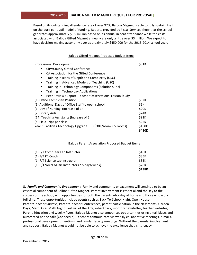## 2012-2013 **[BALBOA GIFTED MAGNET REQUEST FOR PROPOSAL]**

Based on its outstanding attendance rate of over 97%, Balboa Magnet is able to fully sustain itself on the pure per pupil model of funding. Reports provided by Fiscal Services show that the school generates approximately \$3.5 million based on its annual in-seat attendance while the costs associated with Balboa Gifted Magnet annually are only a little over \$3 million. We expect to have decision-making autonomy over approximately \$450,000 for the 2013-2014 school year.

#### Balboa Gifted Magnet Proposed Budget Items

| <b>Professional Development</b>                                 | S81K         |  |  |  |  |  |
|-----------------------------------------------------------------|--------------|--|--|--|--|--|
| City/County Gifted Conference                                   |              |  |  |  |  |  |
| CA Association for the Gifted Conference<br>٠                   |              |  |  |  |  |  |
| Training in Icons of Depth and Complexity (USC)<br>$\bullet$    |              |  |  |  |  |  |
| Training in Advanced Models of Teaching (USC)<br>$\bullet$      |              |  |  |  |  |  |
| Training in Technology Components (Solutionz, Inc)<br>$\bullet$ |              |  |  |  |  |  |
| Training in Technology Applications<br>$\bullet$                |              |  |  |  |  |  |
| Peer Review Support: Teacher Observations, Lesson Study         |              |  |  |  |  |  |
| (1) Office Technician Position                                  | \$52K        |  |  |  |  |  |
| (5) Additional Days of Office Staff to open school              | \$6K         |  |  |  |  |  |
| (1) Day of Nursing (Increase of 1)                              |              |  |  |  |  |  |
| (2) Library Aids                                                |              |  |  |  |  |  |
| (14) Teaching Assistants (Increase of 5)                        |              |  |  |  |  |  |
| (4) Field Trips per class                                       | \$25K        |  |  |  |  |  |
| (\$30K/room X 5 rooms)<br>Year 1 Facilities Technology Upgrade  | \$150K       |  |  |  |  |  |
|                                                                 | <b>S450K</b> |  |  |  |  |  |

#### Balboa Parent Association Proposed Budget Items

|                                                | \$138K       |
|------------------------------------------------|--------------|
| (1) P/T Vocal Music Instructor (2.5 days/week) | <b>\$28K</b> |
| (1) F/T Science Lab Instructor                 | <b>S35K</b>  |
| $(1)$ F/T PE Coach                             | <b>\$35K</b> |
| (1) F/T Computer Lab Instructor                | <b>\$40K</b> |

**8. Family and Community Engagement**: Family and community engagement will continue to be an essential component of Balboa Gifted Magnet. Parent involvement is essential and the key to the success of the school, with opportunities for both the parents who stay at home and those who work full-time. These opportunities include events such as Back-To-School Night, Open House, Parent/Teacher Surveys, Parent/Teacher Conferences, parent participation in the classrooms, Garden Days, Mardi Gras Math Night, Festival of the Arts, e-backpack, monthly newsletter, teacher websites, Parent Education and weekly flyers. Balboa Magnet also announces opportunities using email blasts and automated phone calls (ConnectEd). Teachers communicate via weekly collaborative meetings, e-mails, professional development meetings, and regular faculty meetings. Without the parents' involvement and support, Balboa Magnet would not be able to achieve the excellence that is its legacy.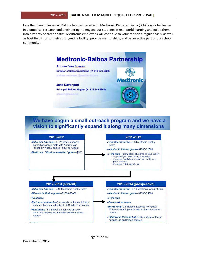Less than two miles away, Balboa has partnered with Medtronic Diabetes, Inc, a \$2 billion global leader in biomedical research and engineering, to engage our students in real-world learning and guide them into a variety of career paths. Medtronic employees will continue to volunteer on a regular basis, as well as host field trips to their cutting-edge facility, provide mentorships, and be an active part of our school community.



# We have begun a small outreach program and we have a vision to significantly expand it along many dimensions

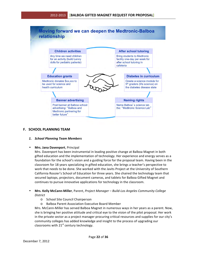

## **F. SCHOOL PLANNING TEAM**

#### **1. School Planning Team Members**

#### **Mrs. Jana Davenport**, Principal

Mrs. Davenport has been instrumental in leading positive change at Balboa Magnet in both gifted education and the implementation of technology. Her experience and energy serves as a foundation for the school's vision and a guiding force for the proposal team. Having been in the classroom for 18 years specializing in gifted education, she brings a teacher's perspective to work that needs to be done. She worked with the Javits Project at the University of Southern California Rossier's School of Education for three years. She chaired the technology team that secured laptops, projectors, document cameras, and tablets for Balboa Gifted Magnet and continues to pursue innovative applications for technology in the classroom.

- **Mrs. Kelly McCann-Miller**, Parent, *Project Manager* Build-Los Angeles Community College *District*
	- o School Site Council Chairperson
	- Balboa Parent Association Executive Board Member

Mrs. McCann-Miller has served Balboa Magnet in numerous ways in her years as a parent. Now, she is bringing her positive attitude and critical eye to the vision of the pilot proposal. Her work in the private sector as a project manager procuring critical resources and supplies for our city's community colleges has added knowledge and insight to the process of upgrading our classrooms with  $21<sup>st</sup>$  century technology.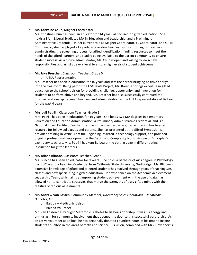#### **Ms. Christine Chun**, Magnet Coordinator

Ms. Christine Chun has been an educator for 14 years, all focused on gifted education. She holds a BA in Liberal Studies, a MA in Education and Leadership, and a Preliminary Administrative Credential. In her current role as Magnet Coordinator, EL Coordinator, and GATE Coordinator, she has played a key role in providing teachers support for English Learners, administrating the screening process for gifted identification, finding resources to meet the needs of the gifted learners, and readily being available to the parent community to ensure student success. As a future administrator, Ms. Chun is open and willing to learn new responsibilities and assist at every level to ensure high levels of student achievement.

## **Mr. Jake Brescher**, Classroom Teacher, Grade 5

o UTLA!Representative

Mr. Brescher has been in education for 10 years and sets the bar for bringing positive energy into the classroom. Being part of the USC Javits Project, Mr. Brescher brings expertise in gifted education to the school's vision for providing challenge, opportunity, and innovation for students to perform above and beyond. Mr. Brescher has also successfully continued the positive relationship between teachers and administration as the UTLA representative at Balboa for the past 4 years.

## • Mrs. Juli Petrilli, Classroom Teacher, Grade 1

Mrs. Petrilli has been in education for 16 years. She holds two MA degrees in Elementary Education and Education Administration, a Preliminary Administrative Credential, and is a National Board Certified Teacher. Her passion and expertise in gifted education has been a resource for fellow colleagues and parents. She has presented at the Gifted Symposiums, provided training in Write From the Beginning, assisted in technology support, and provided ongoing professional development in the Depth and Complexity icons. As one of Dr. Kaplan's exemplary teachers, Mrs. Petrilli has kept Balboa at the cutting edge in differentiating instruction for gifted learners.

## **Ms. Briana Blincoe**, Classroom Teacher, Grade 1

Ms. Blincoe has been an educator for 9 years. She holds a Bachelor of Arts degree in Psychology from UCLA and a Teaching Credential from California State University, Northridge. Ms. Blincoe's extensive knowledge of gifted and talented students has evolved through years of teaching SAS classes and now specializing in gifted education. Her experience on the Academic Achievement Leadership Team, which aims at improving student achievement with the use of data, has allowed her to contribute strategies that merge the strengths of truly gifted minds with the realities of tedious assessments.

## **Mr. Andrew Van Fossen**, Community Member, Director of Sales Operations – Medtronic *Diabetes,\*Inc.*

- $\circ$  Balboa Medtronic Liaison
- o Balboa!Volunteer

Mr. Van Fossen has brought Medtronic Diabetes to Balboa's doorstep. It was his energy and enthusiasm for community involvement that opened the door to this successful partnership. As an active volunteer at Balboa, he has personally donated countless hours of his time to inspire students at Balboa in the areas of math and science. His vision, combined with Mrs. Davenport's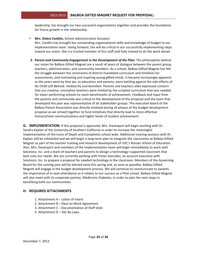leadership, has brought our two successful organizations together and provides the foundation for future growth in the relationship.

- Mrs. Debra Conklin, School Administrative Assistant Mrs. Conklin has brought her outstanding organizational skills and knowledge of budget to our implementation team. Going forward, she will be critical in our successfully implementing steps toward our vision. She is a trusted member of this staff and fully trained to do the work ahead.
- **2. Parent and Community Engagement in the Development of the Plan: The philosophies behind** our vision for Balboa Gifted Magnet are a result of years of dialogue between the parent group, teachers, administration, and community members. As a school, Balboa Gifted Magnet has felt the struggle between the constraints of district-mandated curriculum and timelines for assessments, and motivating and inspiring young gifted minds. It became increasingly apparent as the years went by that we, as educators and parents, were battling against the side effects of No Child Left Behind: mediocrity and boredom. Parents and teachers alike expressed concern that our creative, innovative teachers were limited by the scripted curriculum that was needed for lower performing schools to reach benchmarks of achievement. Feedback and input from the parents and community was critical to the development of the proposal and the team that developed this plan was representative of all stakeholder groups. The executive board of the Balboa Parent Association was directly involved during all phases of the budget development proposal as we strived together to fund initiatives that directly lead to more effective home/school communications and higher levels of student achievement.

**G. IMPLEMENTATION:** If this proposal is approved, Mrs. Davenport will begin working with Dr. Sandra Kaplan of the University of Southern California in order to increase the meaningful implementation of the Icons of Depth and Complexity school wide. Additional training sessions with Dr. Kaplan will be scheduled and we will begin a long-term plan to integrate the classrooms at Balboa Gifted Magnet as part of the teacher training and research development of USC's Rossier School of Education. Also, Mrs. Davenport and members of the implementation team will begin immediately to work with Solutionz, Inc. and a team of teachers and parents to design a technology–supported classroom that best suits our needs. We are currently working with Victor Gonzalez, an account executive with Solutionz, Inc. to prepare a proposal for needed technology in the classroom. Members of the Governing Board for the coming year will be elected early this spring and, as soon as possible, Balboa Gifted Magnet will engage in the budget development process. We will continue to communicate to parents the importance of in-seat attendance as it relates to our success as a Pilot school. Balboa Gifted Magnet will also meet with its corporate partner, Medtronic Diabetes, in order to plan the next steps in benefiting both our communities.

## **H.&& REQUIRED&ATTACHMENTS**

- 1. Attachment  $A$  Letter of Intent
- 2. Attachment B Elect-to-Work Agreement
- 3. Attachment C Documentation of Staff Vote
- 4. Attachment D SSC By-Laws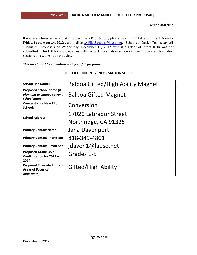#### **ATTACHMENT A**

If you are interested in applying to become a Pilot School, please submit this Letter of Intent Form by Friday, September 14, 2012 via e-mail to LA-PilotSchools@lausd.net. Schools or Design Teams can still submit full proposals on Wednesday, December 12, 2012 even if a Letter of Intent (LOI) was not submitted. The LOI form provides us with contact information so we can communicate information sessions and workshop schedules.

#### This sheet must be submitted with your full proposal.

| <b>School Site Name:</b>                                                       | <b>Balboa Gifted/High Ability Magnet</b> |
|--------------------------------------------------------------------------------|------------------------------------------|
| <b>Proposed School Name (if</b><br>planning to change current<br>school name): | <b>Balboa Gifted Magnet</b>              |
| <b>Conversion or New Pilot</b><br>School:                                      | Conversion                               |
| <b>School Address:</b>                                                         | 17020 Labrador Street                    |
|                                                                                | Northridge, CA 91325                     |
| <b>Primary Contact Name:</b>                                                   | Jana Davenport                           |
| <b>Primary Contact Phone No:</b>                                               | 818-349-4801                             |
| <b>Primary Contact E-mail Add:</b>                                             | jdaven1@lausd.net                        |
| <b>Proposed Grade Level</b><br>Configuration for 2013 -<br>2014:               | Grades 1-5                               |
| <b>Proposed Thematic Units or</b><br><b>Areas of Focus (if</b><br>applicable): | <b>Gifted/High Ability</b>               |

## LETTER OF INTENT / INFORMATION SHEET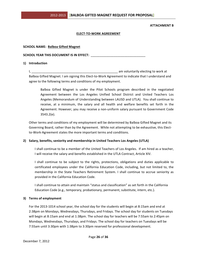#### **ATTACHMENT B**

#### **ELECT-TO-WORK AGREEMENT**

#### **SCHOOL&NAME:**!!**Balboa&Gifted&Magnet**

SCHOOL YEAR THIS DOCUMENT IS IN EFFECT:

#### **1) Introduction**

I,!\_\_\_\_\_\_\_\_\_\_\_\_\_\_\_\_\_\_\_\_\_\_\_\_\_\_\_\_\_\_\_\_\_\_\_\_\_\_\_\_\_\_\_\_\_\_\_\_\_!am!voluntarily!electing!to!work!at! Balboa Gifted Magnet. I am signing this Elect-to-Work Agreement to indicate that I understand and agree to the following terms and conditions of my employment.

Balboa Gifted Magnet is under the Pilot Schools program described in the negotiated Agreement between the Los Angeles Unified School District and United Teachers Los Angeles (Memorandum of Understanding between LAUSD and UTLA). You shall continue to receive, at a minimum, the salary and all health and welfare benefits set forth in the Agreement. However, you may receive a non-uniform salary pursuant to Government Code 3543.2(e).

Other terms and conditions of my employment will be determined by Balboa Gifted Magnet and its Governing Board, rather than by the Agreement. While not attempting to be exhaustive, this Electto-Work-Agreement states the more important terms and conditions.

#### 2) Salary, benefits, seniority and membership in United Teachers Los Angeles (UTLA)

I shall continue to be a member of the United Teachers of Los Angeles. If am hired as a teacher, I will receive the salary and benefits established in the UTLA Contract, Article XIV.

I shall continue to be subject to the rights, protections, obligations and duties applicable to certificated employees under the California Education Code, including, but not limited to, the membership in the State Teachers Retirement System. I shall continue to accrue seniority as provided in the California Education Code.

I shall continue to attain and maintain "status and classification" as set forth in the California Education Code (e.g., temporary, probationary, permanent, substitute, intern, etc.).

#### **3)** Terms of employment

For the 2013-1014 school year, the school day for the students will begin at 8:15am and end at 2:38pm on Mondays, Wednesdays, Thursdays, and Fridays. The school day for students on Tuesdays will begin at 8:15am and end at 1:38pm. The school day for teachers will be 7:55am to 2:45pm on Mondays, Wednesdays, Thursdays, and Fridays. The school day for teachers on Tuesdays will be 7:55am until 3:30pm with 1:38pm to 3:30pm reserved for professional development.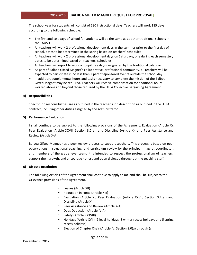The school year for students will consist of 180 instructional days. Teachers will work 185 days according to the following schedule:

- The first and last days of school for students will be the same as at other traditional schools in the LAUSD
- All teachers will work 2 professional development days in the summer prior to the first day of school, dates to be determined in the spring based on teachers' schedules
- All teachers will work 2 professional development days on Saturdays, one during each semester, dates to be determined based on teachers' schedules
- All teachers will report to work on pupil free days designated by the traditional calendar
- As part of Balboa Gifted Magnet's collaborative, professional community, all teachers will be expected to participate in no less than 2 parent-sponsored events outside the school day
- In addition, supplemental hours and tasks necessary to complete the mission of the Balboa Gifted Magnet may be required. Teachers will receive compensation for additional hours worked above and beyond those required by the UTLA Collective Bargaining Agreement.

#### **4) Responsibilities**

Specific job responsibilities are as outlined in the teacher's job description as outlined in the UTLA contract, including other duties assigned by the Administrator.

#### **5)** Performance Evaluation

I shall continue to be subject to the following provisions of the Agreement: Evaluation (Article X), Peer Evaluation (Article XXVII, Section 3.2(e)) and Discipline (Article X), and Peer Assistance and Review (Article X-A

Balboa Gifted Magnet has a peer review process to support teachers. This process is based on peer observations, instructional coaching, and curriculum review by the principal, magnet coordinator, and members of the grade level team. It is intended to respect the professionalism of teachers, support their growth, and encourage honest and open dialogue throughout the teaching staff.

#### **6)** Dispute Resolution

The following Articles of the Agreement shall continue to apply to me and shall be subject to the Grievance provisions of the Agreement.

- Leaves (Article XII)
- Reduction in Force (Article XIII)
- Evaluation (Article X), Peer Evaluation (Article XXVII, Section 3.2(e)) and Discipline (Article X)
- Peer Assistance and Review (Article X-A)
- Dues Deduction (Article IV-A)
- Safety (Article XXXVIII)
- Holidays (Article XVII) (9 legal holidays, 8 winter recess holidays and 5 spring recess holidays)
- Election of Chapter Chair (Article IV, Section 8.0(a) through (c)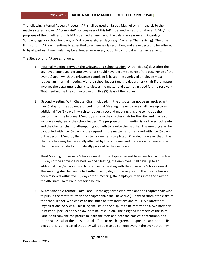The following Internal Appeals Process (IAP) shall be used at Balboa Magnet only in regards to the matters stated above. A "complaint" for purposes of this IAP is defined as set forth above. A "day", for purposes of the timelines of this IAP is defined as any day of the calendar year except Saturdays, Sundays, legal or school holidays, or District-unassigned days (e.g., Day after Thanksgiving). The time limits of this IAP are intentionally expedited to achieve early resolution, and are expected to be adhered to by all parties. Time limits may be extended or waived, but only by mutual written agreement.

The Steps of this IAP are as follows:

- 1. Informal Meeting Between the Grievant and School Leader: Within five (5) days after the aggrieved employee became aware (or should have become aware) of the occurrence of the event(s) upon which the grievance complaint is based, the aggrieved employee must request an informal meeting with the school leader (and the department chair if the matter involves the department chair), to discuss the matter and attempt in good faith to resolve it. That meeting shall be conducted within five (5) days of the request.
- 2. Second Meeting, With Chapter Chair Included: If the dispute has not been resolved with five (5) days of the above-described Informal Meeting, the employee shall have up to an additional five (5) days in which to request a second meeting, this one to include the persons from the Informal Meeting, and also the chapter chair for the site, and may also include a designee of the school leader. The purpose of this meeting is for the school leader and the Chapter chair to attempt in good faith to resolve the dispute. This meeting shall be conducted with five (5) days of the request. If the matter is not resolved with five (5) days of the Second Meeting, then this step is deemed completed. Provided, however that if the chapter chair may be personally affected by the outcome, and there is no designated cochair, the matter shall automatically proceed to the next step.
- 3. Third Meeting: Governing School Council: If the dispute has not been resolved within five (5) days of the above-described Second Meeting, the employee shall have up to an additional five (5) days in which to request a meeting with the Governing School Council. This meeting shall be conducted within five (5) days of the request. If the dispute has not been resolved within five (5) days of this meeting, the employee may submit the claim to the Alternate Claim Panel set forth below.
- 4. Submission to Alternate Claim Panel: If the aggrieved employee and the chapter chair wish to pursue the matter further, the chapter chair shall have five (5) days to submit the claim to the school leader, with copies to the Office of Staff Relations and to UTLA's Director of Organizational Services. This filing shall cause the dispute to be referred to a two-member Joint Panel (see Section 5 below) for final resolution. The assigned members of the Joint Panel shall convene the parties to learn the facts and hear the parties' contentions, and then shall use all of their best mutual efforts to reach agreement upon the appropriate final decision. It is anticipated that they will be able to do so. However, in the event that they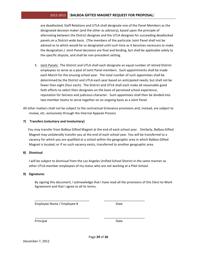## 2012-2013 **| BALBOA GIFTED MAGNET REQUEST FOR PROPOSAL**

are deadlocked, Staff Relations and UTLA shall designate one of the Panel Members as the designated decision maker (and the other as advisory), based upon the principle of alternating between the District designee and the UTLA designee for succeeding deadlocked panels on a District-wide basis. (The members of the particular Joint Panel shall not be advised as to which would be so designated until such time as it becomes necessary to make the designation.) Joint Panel decisions are final and binding, but shall be applicable solely to the specific dispute, and shall be non-precedent setting.

5. Joint Panels: The District and UTLA shall each designate an equal number of retired District employees to serve as a pool of Joint Panel members. Such appointments shall be made each March for the ensuing school year. The total number of such appointees shall be determined by the District and UTLA each year based on anticipated needs, but shall not be fewer than eight (four each). The District and UTLA shall each make all reasonable good faith efforts to select their designees on the basis of perceived school experience, reputation for fairness and judicious character. Such appointees shall then be divided into two-member teams to serve together on an ongoing basis as a Joint Panel.

All other matters shall not be subject to the contractual Grievance provisions and, instead, are subject to review, etc. exclusively through the Internal Appeals Process

#### **7) Transfers (voluntary and involuntary)**

You may transfer from Balboa Gifted Magnet at the end of each school year. Similarly, Balboa Gifted Magnet may unilaterally transfer you at the end of each school year. You will be transferred to a vacancy for which you are qualified at a school within the geographic area in which Balboa Gifted Magnet is located, or if no such vacancy exists, transferred to another geographic area.

#### **8) Dismissal**

I will be subject to dismissal from the Los Angeles Unified School District in the same manner as other UTLA-member employees of my status who are not working at a Pilot School.

\_\_\_\_\_\_\_\_\_\_\_\_\_\_\_\_\_\_\_\_\_\_\_\_\_\_\_\_\_\_\_ \_\_\_\_\_\_\_\_\_\_\_\_\_\_\_\_\_\_\_\_\_\_\_

\_\_\_\_\_\_\_\_\_\_\_\_\_\_\_\_\_\_\_\_\_\_\_\_\_\_\_\_\_\_\_ \_\_\_\_\_\_\_\_\_\_\_\_\_\_\_\_\_\_\_\_\_\_\_

#### **9) Signatures**

By signing this document, I acknowledge that I have read all the provisions of this Elect-to-Work Agreement and that I agree to all its terms.

Employee Name / Employee # Date

Principal Date **Date**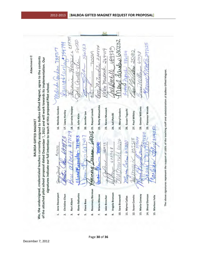|                                                                                                                                                                                                                                                                                                                                      | 89797<br>eage darders 630232<br>50030<br>caura+antu+754799<br>297125<br>560563<br>atty Mcturated 228894<br>MAtthell 19937<br>Mulride Gordon 733717<br>aren mussaure 264419<br>Come 251912<br>10000<br>AlANA DIANCLE 586154<br>Wellessen 673718<br>$X_{\text{ATD}}$<br>omed-vi.<br>13160<br>$\alpha$                                                                                                                                                                                                                                                                                                                                                                                                                                                                                                                                                          |
|--------------------------------------------------------------------------------------------------------------------------------------------------------------------------------------------------------------------------------------------------------------------------------------------------------------------------------------|--------------------------------------------------------------------------------------------------------------------------------------------------------------------------------------------------------------------------------------------------------------------------------------------------------------------------------------------------------------------------------------------------------------------------------------------------------------------------------------------------------------------------------------------------------------------------------------------------------------------------------------------------------------------------------------------------------------------------------------------------------------------------------------------------------------------------------------------------------------|
| We, the undersigned, credentialed teachers currently assigned to Balboa Gifted Magnet, agree to the contents<br>of the attached pilot school proposal dated December 7, 2012 and will work towards its implementation. Our<br>signatures indicate our full intention to teach at this proposed Pilot school.<br>BALBOA GIFTED MAGNET | 22. Betty Matsushita<br>16. Melinda Gordon<br>29. Florence Woods<br>$b$ $e$ $t$ $t$ $\bar{t}$ $71/2$ $9$ $\bar{t}$ $\bar{t}$ $\bar{t}$ $\bar{t}$ $\bar{t}$ $\bar{t}$ $\bar{t}$ $\bar{t}$ $\bar{t}$ $\bar{t}$ $\bar{t}$ $\bar{t}$ $\bar{t}$ $\bar{t}$ $\bar{t}$ $\bar{t}$ $\bar{t}$ $\bar{t}$ $\bar{t}$ $\bar{t}$ $\bar{t}$ $\bar{t}$ $\bar{t}$ $\$<br>28. Genise Williams<br>23. Karen Mussack<br>25. Meryl Sanders<br>26. Susan Taguchi<br>$2$ Uthman $6556$ 21. Raquel Lomell<br>17. Laura Hanley<br>27. Paul Wilkins<br>20. Jennifer Lee<br>24. Juli Petrilli<br>19. Julie Klein<br>28844282<br>018865<br>$500 \text{ cm}$<br>rocksnuctor 781953<br>693973<br>39234<br>3225<br>905008<br>$\mu_{\mathbf{A}}$ (arg) 611330<br>P <sub>0</sub><br>780973<br>#623572<br>$-022968$<br>mone<br>fallored<br>Annuise<br>1 Ven<br>- Elu<br>rery<br>the 1<br>$\zeta$ |
|                                                                                                                                                                                                                                                                                                                                      | <b>Rosemary Bierman</b><br>Angela Bronson<br>Jana Davenport<br>Iliana Bañuelos<br>Christine Chun<br>14. Sheryl Donson<br><b>Briana Blincoe</b><br>13. Maria Conway<br>10. Sara Brownell<br>12. Susan Convirs<br>15. Marlean Felix<br>Jake Brescher<br>11. Myrna Cañas<br>Rori Albert<br>Dana Bass<br>g,<br>6.<br>$\overline{\mathbf{r}}$<br>u,<br>r.<br>œ<br>H<br>$\vec{3}$<br>4                                                                                                                                                                                                                                                                                                                                                                                                                                                                             |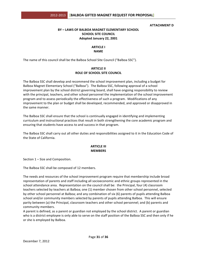#### **ATTACHMENT&D**

## **BY – LAWS OF BALBOA MAGNET ELEMENTARY SCHOOL SCHOOL SITE COUNCIL** Adopted January 22, 2001

## **ARTICLE I NAME**

The name of this council shall be the Balboa School Site Council ("Balboa SSC").

## **ARTICLE II ROLE OF SCHOOL SITE COUNCIL**

The Balboa SSC shall develop and recommend the school improvement plan, including a budget for Balboa Magnet Elementary School ("Balboa"). The Balboa SSC, following approval of a school improvement plan by the school district governing board, shall have ongoing responsibility to review with the principal, teachers, and other school personnel the implementation of the school improvement program and to assess periodically the effectiveness of such a program. Modifications of any improvement to the plan or budget shall be developed, recommended, and approved or disapproved in the same manner.

The Balboa SSC shall ensure that the school is continually engaged in identifying and implementing curriculum and instructional practices that result in both strengthening the core academic program and ensuring that students have access to and success in that program.

The Balboa SSC shall carry out all other duties and responsibilities assigned to it in the Education Code of the State of California.

#### **ARTICLE III MEMBERS**

Section  $1 -$  Size and Composition.

The Balboa SSC shall be composed of 12 members.

The needs and resources of the school improvement program require that membership include broad representation of parents and staff including all socioeconomic and ethnic groups represented in the school attendance area. Representation on the council shall be: the Principal, four (4) classroom teachers selected by teachers at Balboa; one (1) member chosen from other school personnel, selected by other school personnel at Balboa; and any combination of six (6) parents of pupils attending Balboa school and/or community members selected by parents of pupils attending Balboa. This will ensure parity between (a) the Principal, classroom teachers and other school personnel; and (b) parents and community members.

A parent is defined, as a parent or guardian not employed by the school district. A parent or guardian who is a district employee is only able to serve on the staff position of the Balboa SSC and then only if he or she is employed by Balboa.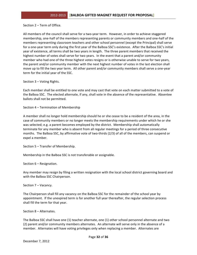Section  $2$  – Term of Office.

All members of the council shall serve for a two-year term. However, in order to achieve staggered membership, one-half of the members representing parents or community members and one-half of the members representing classroom teachers and other school personnel (except the Principal) shall serve for a one-year term only during the first year of the Balboa SSC's existence. After the Balboa SSC's initial year of existence, all terms shall be two years in length. The three parent members that received the highest number of votes shall serve for two years. In the event that a parent and/or community member who had one of the three highest votes resigns or is otherwise unable to serve for two years, the parent and/or community member with the next highest number of votes in the last election shall move up to fill the two year term. All other parent and/or community members shall serve a one-year term for the initial year of the SSC.

Section  $3$  – Voting Rights.

Each member shall be entitled to one vote and may cast that vote on each matter submitted to a vote of the Balboa SSC. The elected alternate, if any, shall vote in the absence of the representative. Absentee ballots shall not be permitted.

Section 4 – Termination of Membership

A member shall no longer hold membership should he or she cease to be a resident of the area, in the case of community members or no longer meets the membership requirements under which he or she was selected; e.g. a parent becomes employed by the district. Membership shall automatically terminate for any member who is absent from all regular meetings for a period of three consecutive months. The Balboa SSC, by affirmative vote of two-thirds (2/3) of all of the members, can suspend or expel a member.

Section  $5$  – Transfer of Membership.

Membership in the Balboa SSC is not transferable or assignable.

Section  $6$  – Resignation.

Any member may resign by filing a written resignation with the local school district governing board and with the Balboa SSC Chairperson.

Section 7 – Vacancy.

The Chairperson shall fill any vacancy on the Balboa SSC for the remainder of the school year by appointment. If the unexpired term is for another full year thereafter, the regular selection process shall fill the term for that year.

Section 8 – Alternates.

The Balboa SSC shall have one (1) teacher alternate, one (1) other school personnel alternate and two (2) parent and/or community members alternates. An alternate will serve only in the absence of a member. Alternates will have voting privileges only when replacing a member. Alternates are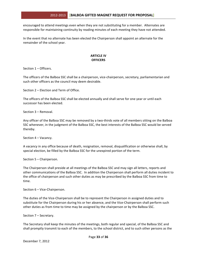encouraged to attend meetings even when they are not substituting for a member. Alternates are responsible for maintaining continuity by reading minutes of each meeting they have not attended.

In the event that no alternate has been elected the Chairperson shall appoint an alternate for the remainder of the school year.

#### **ARTICLE IV OFFICERS**

Section  $1$  – Officers.

The officers of the Balboa SSC shall be a chairperson, vice-chairperson, secretary, parliamentarian and such other officers as the council may deem desirable.

Section 2 – Election and Term of Office.

The officers of the Balboa SSC shall be elected annually and shall serve for one year or until each successor has been elected.

Section 3 – Removal.

Any officer of the Balboa SSC may be removed by a two-thirds vote of all members sitting on the Balboa SSC whenever, in the judgment of the Balboa SSC, the best interests of the Balboa SSC would be served thereby.

Section 4 – Vacancy.

A vacancy in any office because of death, resignation, removal, disqualification or otherwise shall, by special election, be filled by the Balboa SSC for the unexpired portion of the term.

Section 5 – Chairperson.

The Chairperson shall preside at all meetings of the Balboa SSC and may sign all letters, reports and other communications of the Balboa SSC. In addition the Chairperson shall perform all duties incident to the office of chairperson and such other duties as may be prescribed by the Balboa SSC from time to time.

Section  $6 -$  Vice-Chairperson.

The duties of the Vice-Chairperson shall be to represent the Chairperson in assigned duties and to substitute for the Chairperson during his or her absence, and the Vice-Chairperson shall perform such other duties as from time to time may be assigned by the chairperson or by the Balboa SSC.

Section 7 – Secretary.

The Secretary shall keep the minutes of the meetings, both regular and special, of the Balboa SSC and shall promptly transmit to each of the members, to the school district, and to such other persons as the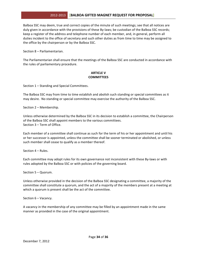## 2012-2013 **| BALBOA GIFTED MAGNET REQUEST FOR PROPOSAL**

Balboa SSC may deem, true and correct copies of the minute of such meetings; see that all notices are duly given in accordance with the provisions of these By-laws; be custodian of the Balboa SSC records; keep a register of the address and telephone number of each member, and, in general, perform all duties incident to the office of secretary and such other duties as from time to time may be assigned to the office by the chairperson or by the Balboa SSC.

Section 8 – Parliamentarian.

The Parliamentarian shall ensure that the meetings of the Balboa SSC are conducted in accordance with the rules of parliamentary procedure.

#### **ARTICLE V COMMITTEES**

Section 1 – Standing and Special Committees.

The Balboa SSC may from time to time establish and abolish such standing or special committees as it may desire. No standing or special committee may exercise the authority of the Balboa SSC.

Section 2 – Membership.

Unless otherwise determined by the Balboa SSC in its decision to establish a committee, the Chairperson of the Balboa SSC shall appoint members to the various committees. Section  $3$  – Term of Office.

Each member of a committee shall continue as such for the term of his or her appointment and until his or her successor is appointed, unless the committee shall be sooner terminated or abolished, or unless such member shall cease to qualify as a member thereof.

Section  $4$  – Rules.

Each committee may adopt rules for its own governance not inconsistent with these By-laws or with rules adopted by the Balboa SSC or with policies of the governing board.

Section 5 – Quorum.

Unless otherwise provided in the decision of the Balboa SSC designating a committee, a majority of the committee shall constitute a quorum, and the act of a majority of the members present at a meeting at which a quorum is present shall be the act of the committee.

Section 6 – Vacancy.

A vacancy in the membership of any committee may be filled by an appointment made in the same manner as provided in the case of the original appointment.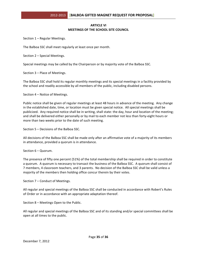## **ARTICLE VI MEETINGS OF THE SCHOOL SITE COUNCIL**

Section  $1$  – Regular Meetings.

The Balboa SSC shall meet regularly at least once per month.

Section 2 – Special Meetings.

Special meetings may be called by the Chairperson or by majority vote of the Balboa SSC.

Section 3 – Place of Meetings.

The Balboa SSC shall hold its regular monthly meetings and its special meetings in a facility provided by the school and readily accessible by all members of the public, including disabled persons.

Section 4 – Notice of Meetings.

Public notice shall be given of regular meetings at least 48 hours in advance of the meeting. Any change in the established date, time, or location must be given special notice. All special meetings shall be publicized. Any required notice shall be in writing, shall state: the day, hour and location of the meeting; and shall be delivered either personally or by mail to each member not less than forty-eight hours or more than two weeks prior to the date of such meeting.

Section 5 – Decisions of the Balboa SSC.

All decisions of the Balboa SSC shall be made only after an affirmative vote of a majority of its members in attendance, provided a quorum is in attendance.

Section 6 – Quorum.

The presence of fifty one percent (51%) of the total membership shall be required in order to constitute a quorum. A quorum is necessary to transact the business of the Balboa SSC. A quorum shall consist of 7 members, 4 classroom teachers, and 3 parents. No decision of the Balboa SSC shall be valid unless a majority of the members then holding office concur therein by their votes.

Section 7 – Conduct of Meetings.

All regular and special meetings of the Balboa SSC shall be conducted in accordance with Robert's Rules of Order or in accordance with an appropriate adaptation thereof.

Section  $8$  – Meetings Open to the Public.

All regular and special meetings of the Balboa SSC and of its standing and/or special committees shall be open at all times to the public.